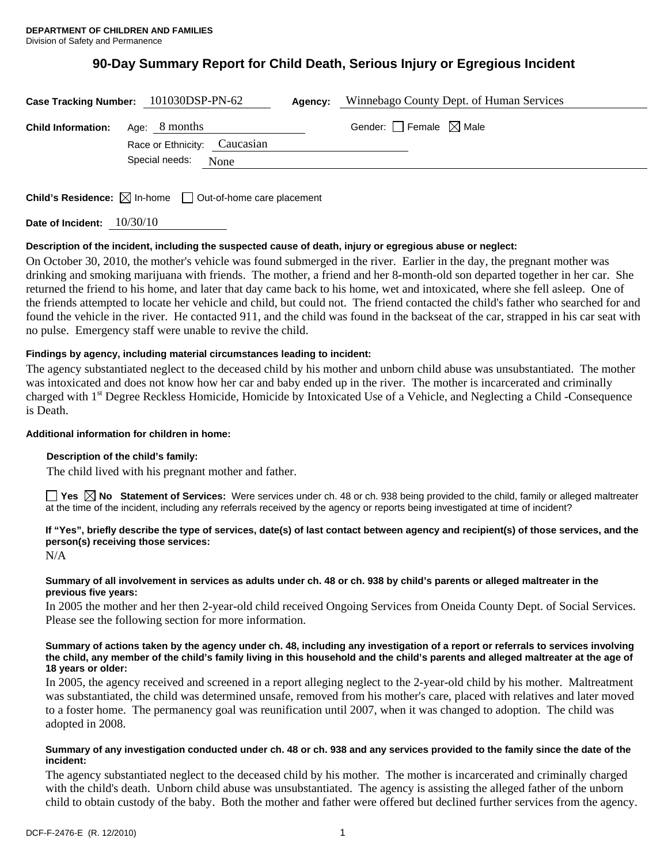# **90-Day Summary Report for Child Death, Serious Injury or Egregious Incident**

|                           | Case Tracking Number: 101030DSP-PN-62 | Agency: | Winnebago County Dept. of Human Services |
|---------------------------|---------------------------------------|---------|------------------------------------------|
| <b>Child Information:</b> | Age: 8 months                         |         | Gender: $\Box$ Female $\boxtimes$ Male   |
|                           | Race or Ethnicity: Caucasian          |         |                                          |
|                           | Special needs:<br>None                |         |                                          |
|                           |                                       |         |                                          |

**Child's Residence:**  $\boxtimes$  In-home  $\Box$  Out-of-home care placement

**Date of Incident:** 10/30/10

# **Description of the incident, including the suspected cause of death, injury or egregious abuse or neglect:**

On October 30, 2010, the mother's vehicle was found submerged in the river. Earlier in the day, the pregnant mother was drinking and smoking marijuana with friends. The mother, a friend and her 8-month-old son departed together in her car. She returned the friend to his home, and later that day came back to his home, wet and intoxicated, where she fell asleep. One of the friends attempted to locate her vehicle and child, but could not. The friend contacted the child's father who searched for and found the vehicle in the river. He contacted 911, and the child was found in the backseat of the car, strapped in his car seat with no pulse. Emergency staff were unable to revive the child.

# **Findings by agency, including material circumstances leading to incident:**

The agency substantiated neglect to the deceased child by his mother and unborn child abuse was unsubstantiated. The mother was intoxicated and does not know how her car and baby ended up in the river. The mother is incarcerated and criminally charged with 1<sup>st</sup> Degree Reckless Homicide, Homicide by Intoxicated Use of a Vehicle, and Neglecting a Child -Consequence is Death.

# **Additional information for children in home:**

# **Description of the child's family:**

The child lived with his pregnant mother and father.

■ Yes **No** Statement of Services: Were services under ch. 48 or ch. 938 being provided to the child, family or alleged maltreater at the time of the incident, including any referrals received by the agency or reports being investigated at time of incident?

# **If "Yes", briefly describe the type of services, date(s) of last contact between agency and recipient(s) of those services, and the person(s) receiving those services:**

N/A

### **Summary of all involvement in services as adults under ch. 48 or ch. 938 by child's parents or alleged maltreater in the previous five years:**

In 2005 the mother and her then 2-year-old child received Ongoing Services from Oneida County Dept. of Social Services. Please see the following section for more information.

#### **Summary of actions taken by the agency under ch. 48, including any investigation of a report or referrals to services involving the child, any member of the child's family living in this household and the child's parents and alleged maltreater at the age of 18 years or older:**

In 2005, the agency received and screened in a report alleging neglect to the 2-year-old child by his mother. Maltreatment was substantiated, the child was determined unsafe, removed from his mother's care, placed with relatives and later moved to a foster home. The permanency goal was reunification until 2007, when it was changed to adoption. The child was adopted in 2008.

### **Summary of any investigation conducted under ch. 48 or ch. 938 and any services provided to the family since the date of the incident:**

The agency substantiated neglect to the deceased child by his mother. The mother is incarcerated and criminally charged with the child's death. Unborn child abuse was unsubstantiated. The agency is assisting the alleged father of the unborn child to obtain custody of the baby. Both the mother and father were offered but declined further services from the agency.